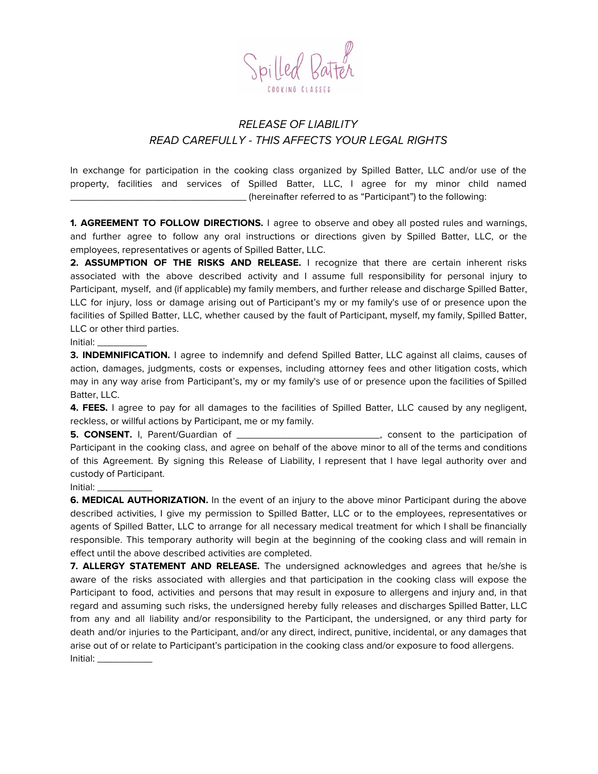

## RELEASE OF LIABILITY READ CAREFULLY - THIS AFFECTS YOUR LEGAL RIGHTS

In exchange for participation in the cooking class organized by Spilled Batter, LLC and/or use of the property, facilities and services of Spilled Batter, LLC, I agree for my minor child named \_\_\_\_\_\_\_\_\_\_\_\_\_\_\_\_\_\_\_\_\_\_\_\_\_\_\_\_\_\_\_\_ (hereinafter referred to as "Participant") to the following:

**1. AGREEMENT TO FOLLOW DIRECTIONS.** I agree to observe and obey all posted rules and warnings, and further agree to follow any oral instructions or directions given by Spilled Batter, LLC, or the employees, representatives or agents of Spilled Batter, LLC.

**2. ASSUMPTION OF THE RISKS AND RELEASE.** I recognize that there are certain inherent risks associated with the above described activity and I assume full responsibility for personal injury to Participant, myself, and (if applicable) my family members, and further release and discharge Spilled Batter, LLC for injury, loss or damage arising out of Participant's my or my family's use of or presence upon the facilities of Spilled Batter, LLC, whether caused by the fault of Participant, myself, my family, Spilled Batter, LLC or other third parties.

Initial:  $\_$ 

**3. INDEMNIFICATION.** I agree to indemnify and defend Spilled Batter, LLC against all claims, causes of action, damages, judgments, costs or expenses, including attorney fees and other litigation costs, which may in any way arise from Participant's, my or my family's use of or presence upon the facilities of Spilled Batter, LLC.

**4. FEES.** I agree to pay for all damages to the facilities of Spilled Batter, LLC caused by any negligent, reckless, or willful actions by Participant, me or my family.

**5. CONSENT.** I, Parent/Guardian of \_\_\_\_\_\_\_\_\_\_\_\_\_\_\_\_\_\_\_\_\_\_\_\_\_\_, consent to the participation of Participant in the cooking class, and agree on behalf of the above minor to all of the terms and conditions of this Agreement. By signing this Release of Liability, I represent that I have legal authority over and custody of Participant.

Initial: \_\_\_\_\_\_\_\_\_\_

**6. MEDICAL AUTHORIZATION.** In the event of an injury to the above minor Participant during the above described activities, I give my permission to Spilled Batter, LLC or to the employees, representatives or agents of Spilled Batter, LLC to arrange for all necessary medical treatment for which I shall be financially responsible. This temporary authority will begin at the beginning of the cooking class and will remain in effect until the above described activities are completed.

**7. ALLERGY STATEMENT AND RELEASE.** The undersigned acknowledges and agrees that he/she is aware of the risks associated with allergies and that participation in the cooking class will expose the Participant to food, activities and persons that may result in exposure to allergens and injury and, in that regard and assuming such risks, the undersigned hereby fully releases and discharges Spilled Batter, LLC from any and all liability and/or responsibility to the Participant, the undersigned, or any third party for death and/or injuries to the Participant, and/or any direct, indirect, punitive, incidental, or any damages that arise out of or relate to Participant's participation in the cooking class and/or exposure to food allergens.  $Initial:$